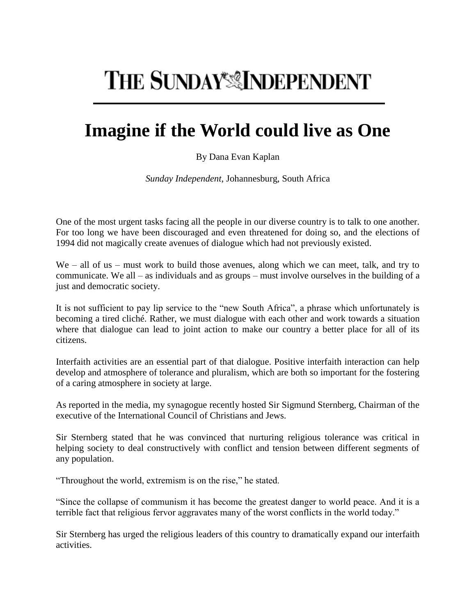## THE SUNDAY<sup>\*</sup> INDEPENDENT

## **Imagine if the World could live as One**

## By Dana Evan Kaplan

*Sunday Independent*, Johannesburg, South Africa

One of the most urgent tasks facing all the people in our diverse country is to talk to one another. For too long we have been discouraged and even threatened for doing so, and the elections of 1994 did not magically create avenues of dialogue which had not previously existed.

We – all of us – must work to build those avenues, along which we can meet, talk, and try to communicate. We all – as individuals and as groups – must involve ourselves in the building of a just and democratic society.

It is not sufficient to pay lip service to the "new South Africa", a phrase which unfortunately is becoming a tired cliché. Rather, we must dialogue with each other and work towards a situation where that dialogue can lead to joint action to make our country a better place for all of its citizens.

Interfaith activities are an essential part of that dialogue. Positive interfaith interaction can help develop and atmosphere of tolerance and pluralism, which are both so important for the fostering of a caring atmosphere in society at large.

As reported in the media, my synagogue recently hosted Sir Sigmund Sternberg, Chairman of the executive of the International Council of Christians and Jews.

Sir Sternberg stated that he was convinced that nurturing religious tolerance was critical in helping society to deal constructively with conflict and tension between different segments of any population.

"Throughout the world, extremism is on the rise," he stated.

"Since the collapse of communism it has become the greatest danger to world peace. And it is a terrible fact that religious fervor aggravates many of the worst conflicts in the world today."

Sir Sternberg has urged the religious leaders of this country to dramatically expand our interfaith activities.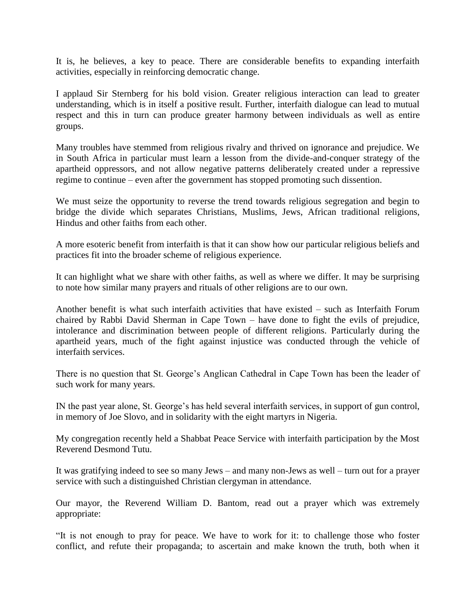It is, he believes, a key to peace. There are considerable benefits to expanding interfaith activities, especially in reinforcing democratic change.

I applaud Sir Sternberg for his bold vision. Greater religious interaction can lead to greater understanding, which is in itself a positive result. Further, interfaith dialogue can lead to mutual respect and this in turn can produce greater harmony between individuals as well as entire groups.

Many troubles have stemmed from religious rivalry and thrived on ignorance and prejudice. We in South Africa in particular must learn a lesson from the divide-and-conquer strategy of the apartheid oppressors, and not allow negative patterns deliberately created under a repressive regime to continue – even after the government has stopped promoting such dissention.

We must seize the opportunity to reverse the trend towards religious segregation and begin to bridge the divide which separates Christians, Muslims, Jews, African traditional religions, Hindus and other faiths from each other.

A more esoteric benefit from interfaith is that it can show how our particular religious beliefs and practices fit into the broader scheme of religious experience.

It can highlight what we share with other faiths, as well as where we differ. It may be surprising to note how similar many prayers and rituals of other religions are to our own.

Another benefit is what such interfaith activities that have existed – such as Interfaith Forum chaired by Rabbi David Sherman in Cape Town – have done to fight the evils of prejudice, intolerance and discrimination between people of different religions. Particularly during the apartheid years, much of the fight against injustice was conducted through the vehicle of interfaith services.

There is no question that St. George's Anglican Cathedral in Cape Town has been the leader of such work for many years.

IN the past year alone, St. George's has held several interfaith services, in support of gun control, in memory of Joe Slovo, and in solidarity with the eight martyrs in Nigeria.

My congregation recently held a Shabbat Peace Service with interfaith participation by the Most Reverend Desmond Tutu.

It was gratifying indeed to see so many Jews – and many non-Jews as well – turn out for a prayer service with such a distinguished Christian clergyman in attendance.

Our mayor, the Reverend William D. Bantom, read out a prayer which was extremely appropriate:

"It is not enough to pray for peace. We have to work for it: to challenge those who foster conflict, and refute their propaganda; to ascertain and make known the truth, both when it